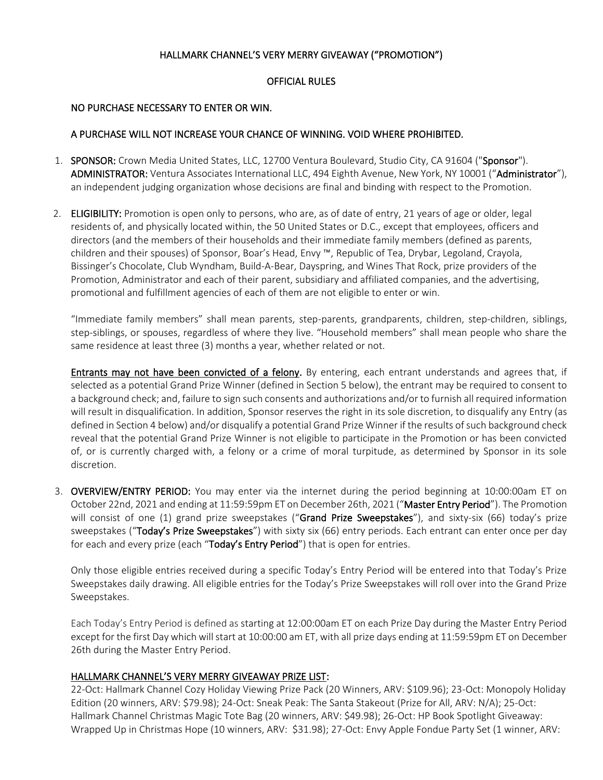### HALLMARK CHANNEL'S VERY MERRY GIVEAWAY ("PROMOTION")

### OFFICIAL RULES

### NO PURCHASE NECESSARY TO ENTER OR WIN.

### A PURCHASE WILL NOT INCREASE YOUR CHANCE OF WINNING. VOID WHERE PROHIBITED.

- 1. SPONSOR: Crown Media United States, LLC, 12700 Ventura Boulevard, Studio City, CA 91604 ("Sponsor"). ADMINISTRATOR: Ventura Associates International LLC, 494 Eighth Avenue, New York, NY 10001 ("Administrator"), an independent judging organization whose decisions are final and binding with respect to the Promotion.
- 2. ELIGIBILITY: Promotion is open only to persons, who are, as of date of entry, 21 years of age or older, legal residents of, and physically located within, the 50 United States or D.C., except that employees, officers and directors (and the members of their households and their immediate family members (defined as parents, children and their spouses) of Sponsor, Boar's Head, Envy ™, Republic of Tea, Drybar, Legoland, Crayola, Bissinger's Chocolate, Club Wyndham, Build-A-Bear, Dayspring, and Wines That Rock, prize providers of the Promotion, Administrator and each of their parent, subsidiary and affiliated companies, and the advertising, promotional and fulfillment agencies of each of them are not eligible to enter or win.

"Immediate family members" shall mean parents, step-parents, grandparents, children, step-children, siblings, step-siblings, or spouses, regardless of where they live. "Household members" shall mean people who share the same residence at least three (3) months a year, whether related or not.

Entrants may not have been convicted of a felony. By entering, each entrant understands and agrees that, if selected as a potential Grand Prize Winner (defined in Section 5 below), the entrant may be required to consent to a background check; and, failure to sign such consents and authorizations and/or to furnish all required information will result in disqualification. In addition, Sponsor reserves the right in its sole discretion, to disqualify any Entry (as defined in Section 4 below) and/or disqualify a potential Grand Prize Winner if the results of such background check reveal that the potential Grand Prize Winner is not eligible to participate in the Promotion or has been convicted of, or is currently charged with, a felony or a crime of moral turpitude, as determined by Sponsor in its sole discretion.

3. OVERVIEW/ENTRY PERIOD: You may enter via the internet during the period beginning at 10:00:00am ET on October 22nd, 2021 and ending at 11:59:59pm ET on December 26th, 2021 ("Master Entry Period"). The Promotion will consist of one (1) grand prize sweepstakes ("Grand Prize Sweepstakes"), and sixty-six (66) today's prize sweepstakes ("Today's Prize Sweepstakes") with sixty six (66) entry periods. Each entrant can enter once per day for each and every prize (each "Today's Entry Period") that is open for entries.

Only those eligible entries received during a specific Today's Entry Period will be entered into that Today's Prize Sweepstakes daily drawing. All eligible entries for the Today's Prize Sweepstakes will roll over into the Grand Prize Sweepstakes.

Each Today's Entry Period is defined as starting at 12:00:00am ET on each Prize Day during the Master Entry Period except for the first Day which will start at 10:00:00 am ET, with all prize days ending at 11:59:59pm ET on December 26th during the Master Entry Period.

# HALLMARK CHANNEL'S VERY MERRY GIVEAWAY PRIZE LIST:

22-Oct: Hallmark Channel Cozy Holiday Viewing Prize Pack (20 Winners, ARV: \$109.96); 23-Oct: Monopoly Holiday Edition (20 winners, ARV: \$79.98); 24-Oct: Sneak Peak: The Santa Stakeout (Prize for All, ARV: N/A); 25-Oct: Hallmark Channel Christmas Magic Tote Bag (20 winners, ARV: \$49.98); 26-Oct: HP Book Spotlight Giveaway: Wrapped Up in Christmas Hope (10 winners, ARV: \$31.98); 27-Oct: Envy Apple Fondue Party Set (1 winner, ARV: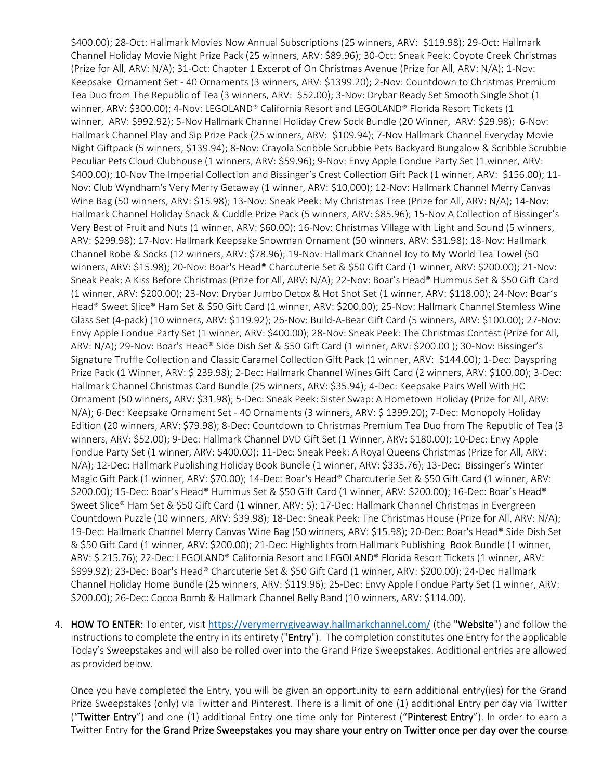\$400.00); 28-Oct: Hallmark Movies Now Annual Subscriptions (25 winners, ARV: \$119.98); 29-Oct: Hallmark Channel Holiday Movie Night Prize Pack (25 winners, ARV: \$89.96); 30-Oct: Sneak Peek: Coyote Creek Christmas (Prize for All, ARV: N/A); 31-Oct: Chapter 1 Excerpt of On Christmas Avenue (Prize for All, ARV: N/A); 1-Nov: Keepsake Ornament Set - 40 Ornaments (3 winners, ARV: \$1399.20); 2-Nov: Countdown to Christmas Premium Tea Duo from The Republic of Tea (3 winners, ARV: \$52.00); 3-Nov: Drybar Ready Set Smooth Single Shot (1 winner, ARV: \$300.00); 4-Nov: LEGOLAND® California Resort and LEGOLAND® Florida Resort Tickets (1 winner, ARV: \$992.92); 5-Nov Hallmark Channel Holiday Crew Sock Bundle (20 Winner, ARV: \$29.98); 6-Nov: Hallmark Channel Play and Sip Prize Pack (25 winners, ARV: \$109.94); 7-Nov Hallmark Channel Everyday Movie Night Giftpack (5 winners, \$139.94); 8-Nov: Crayola Scribble Scrubbie Pets Backyard Bungalow & Scribble Scrubbie Peculiar Pets Cloud Clubhouse (1 winners, ARV: \$59.96); 9-Nov: Envy Apple Fondue Party Set (1 winner, ARV: \$400.00); 10-Nov The Imperial Collection and Bissinger's Crest Collection Gift Pack (1 winner, ARV: \$156.00); 11- Nov: Club Wyndham's Very Merry Getaway (1 winner, ARV: \$10,000); 12-Nov: Hallmark Channel Merry Canvas Wine Bag (50 winners, ARV: \$15.98); 13-Nov: Sneak Peek: My Christmas Tree (Prize for All, ARV: N/A); 14-Nov: Hallmark Channel Holiday Snack & Cuddle Prize Pack (5 winners, ARV: \$85.96); 15-Nov A Collection of Bissinger's Very Best of Fruit and Nuts (1 winner, ARV: \$60.00); 16-Nov: Christmas Village with Light and Sound (5 winners, ARV: \$299.98); 17-Nov: Hallmark Keepsake Snowman Ornament (50 winners, ARV: \$31.98); 18-Nov: Hallmark Channel Robe & Socks (12 winners, ARV: \$78.96); 19-Nov: Hallmark Channel Joy to My World Tea Towel (50 winners, ARV: \$15.98); 20-Nov: Boar's Head® Charcuterie Set & \$50 Gift Card (1 winner, ARV: \$200.00); 21-Nov: Sneak Peak: A Kiss Before Christmas (Prize for All, ARV: N/A); 22-Nov: Boar's Head® Hummus Set & \$50 Gift Card (1 winner, ARV: \$200.00); 23-Nov: Drybar Jumbo Detox & Hot Shot Set (1 winner, ARV: \$118.00); 24-Nov: Boar's Head® Sweet Slice® Ham Set & \$50 Gift Card (1 winner, ARV: \$200.00); 25-Nov: Hallmark Channel Stemless Wine Glass Set (4-pack) (10 winners, ARV: \$119.92); 26-Nov: Build-A-Bear Gift Card (5 winners, ARV: \$100.00); 27-Nov: Envy Apple Fondue Party Set (1 winner, ARV: \$400.00); 28-Nov: Sneak Peek: The Christmas Contest (Prize for All, ARV: N/A); 29-Nov: Boar's Head® Side Dish Set & \$50 Gift Card (1 winner, ARV: \$200.00 ); 30-Nov: Bissinger's Signature Truffle Collection and Classic Caramel Collection Gift Pack (1 winner, ARV: \$144.00); 1-Dec: Dayspring Prize Pack (1 Winner, ARV: \$ 239.98); 2-Dec: Hallmark Channel Wines Gift Card (2 winners, ARV: \$100.00); 3-Dec: Hallmark Channel Christmas Card Bundle (25 winners, ARV: \$35.94); 4-Dec: Keepsake Pairs Well With HC Ornament (50 winners, ARV: \$31.98); 5-Dec: Sneak Peek: Sister Swap: A Hometown Holiday (Prize for All, ARV: N/A); 6-Dec: Keepsake Ornament Set - 40 Ornaments (3 winners, ARV: \$ 1399.20); 7-Dec: Monopoly Holiday Edition (20 winners, ARV: \$79.98); 8-Dec: Countdown to Christmas Premium Tea Duo from The Republic of Tea (3 winners, ARV: \$52.00); 9-Dec: Hallmark Channel DVD Gift Set (1 Winner, ARV: \$180.00); 10-Dec: Envy Apple Fondue Party Set (1 winner, ARV: \$400.00); 11-Dec: Sneak Peek: A Royal Queens Christmas (Prize for All, ARV: N/A); 12-Dec: Hallmark Publishing Holiday Book Bundle (1 winner, ARV: \$335.76); 13-Dec: Bissinger's Winter Magic Gift Pack (1 winner, ARV: \$70.00); 14-Dec: Boar's Head® Charcuterie Set & \$50 Gift Card (1 winner, ARV: \$200.00); 15-Dec: Boar's Head® Hummus Set & \$50 Gift Card (1 winner, ARV: \$200.00); 16-Dec: Boar's Head® Sweet Slice® Ham Set & \$50 Gift Card (1 winner, ARV: \$); 17-Dec: Hallmark Channel Christmas in Evergreen Countdown Puzzle (10 winners, ARV: \$39.98); 18-Dec: Sneak Peek: The Christmas House (Prize for All, ARV: N/A); 19-Dec: Hallmark Channel Merry Canvas Wine Bag (50 winners, ARV: \$15.98); 20-Dec: Boar's Head® Side Dish Set & \$50 Gift Card (1 winner, ARV: \$200.00); 21-Dec: Highlights from Hallmark Publishing Book Bundle (1 winner, ARV: \$ 215.76); 22-Dec: LEGOLAND® California Resort and LEGOLAND® Florida Resort Tickets (1 winner, ARV: \$999.92); 23-Dec: Boar's Head® Charcuterie Set & \$50 Gift Card (1 winner, ARV: \$200.00); 24-Dec Hallmark Channel Holiday Home Bundle (25 winners, ARV: \$119.96); 25-Dec: Envy Apple Fondue Party Set (1 winner, ARV: \$200.00); 26-Dec: Cocoa Bomb & Hallmark Channel Belly Band (10 winners, ARV: \$114.00).

4. HOW TO ENTER: To enter, visit [https://verymerrygiveaway.hallmarkchannel.com/](https://nam02.safelinks.protection.outlook.com/?url=https%3A%2F%2Fverymerrygiveaway.hallmarkchannel.com%2F&data=04%7C01%7Chdecato%40sweepspros.com%7Cf031ec1ae8934dd5e8be08d989f6bc42%7Cf0ab587e2d934ccdad8fa3c457a4eb6c%7C0%7C0%7C637692515380009214%7CUnknown%7CTWFpbGZsb3d8eyJWIjoiMC4wLjAwMDAiLCJQIjoiV2luMzIiLCJBTiI6Ik1haWwiLCJXVCI6Mn0%3D%7C1000&sdata=gqSaoIC7KIB5dLMfA6E9GCW7oi0IfhOhLHGyt%2FW3pVs%3D&reserved=0) (the "Website") and follow the instructions to complete the entry in its entirety ("Entry"). The completion constitutes one Entry for the applicable Today's Sweepstakes and will also be rolled over into the Grand Prize Sweepstakes. Additional entries are allowed as provided below.

Once you have completed the Entry, you will be given an opportunity to earn additional entry(ies) for the Grand Prize Sweepstakes (only) via Twitter and Pinterest. There is a limit of one (1) additional Entry per day via Twitter ("Twitter Entry") and one (1) additional Entry one time only for Pinterest ("Pinterest Entry"). In order to earn a Twitter Entry for the Grand Prize Sweepstakes you may share your entry on Twitter once per day over the course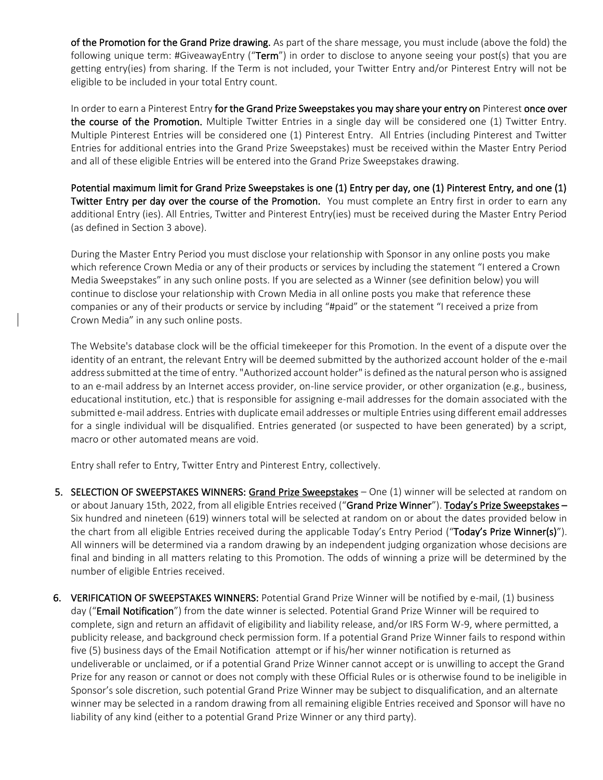of the Promotion for the Grand Prize drawing. As part of the share message, you must include (above the fold) the following unique term: #GiveawayEntry ("Term") in order to disclose to anyone seeing your post(s) that you are getting entry(ies) from sharing. If the Term is not included, your Twitter Entry and/or Pinterest Entry will not be eligible to be included in your total Entry count.

In order to earn a Pinterest Entry for the Grand Prize Sweepstakes you may share your entry on Pinterest once over the course of the Promotion. Multiple Twitter Entries in a single day will be considered one (1) Twitter Entry. Multiple Pinterest Entries will be considered one (1) Pinterest Entry. All Entries (including Pinterest and Twitter Entries for additional entries into the Grand Prize Sweepstakes) must be received within the Master Entry Period and all of these eligible Entries will be entered into the Grand Prize Sweepstakes drawing.

Potential maximum limit for Grand Prize Sweepstakes is one (1) Entry per day, one (1) Pinterest Entry, and one (1) Twitter Entry per day over the course of the Promotion. You must complete an Entry first in order to earn any additional Entry (ies). All Entries, Twitter and Pinterest Entry(ies) must be received during the Master Entry Period (as defined in Section 3 above).

During the Master Entry Period you must disclose your relationship with Sponsor in any online posts you make which reference Crown Media or any of their products or services by including the statement "I entered a Crown Media Sweepstakes" in any such online posts. If you are selected as a Winner (see definition below) you will continue to disclose your relationship with Crown Media in all online posts you make that reference these companies or any of their products or service by including "#paid" or the statement "I received a prize from Crown Media" in any such online posts.

The Website's database clock will be the official timekeeper for this Promotion. In the event of a dispute over the identity of an entrant, the relevant Entry will be deemed submitted by the authorized account holder of the e-mail address submitted at the time of entry. "Authorized account holder" is defined as the natural person who is assigned to an e-mail address by an Internet access provider, on-line service provider, or other organization (e.g., business, educational institution, etc.) that is responsible for assigning e-mail addresses for the domain associated with the submitted e-mail address. Entries with duplicate email addresses or multiple Entries using different email addresses for a single individual will be disqualified. Entries generated (or suspected to have been generated) by a script, macro or other automated means are void.

Entry shall refer to Entry, Twitter Entry and Pinterest Entry, collectively.

- 5. SELECTION OF SWEEPSTAKES WINNERS: Grand Prize Sweepstakes One (1) winner will be selected at random on or about January 15th, 2022, from all eligible Entries received ("Grand Prize Winner"). Today's Prize Sweepstakes -Six hundred and nineteen (619) winners total will be selected at random on or about the dates provided below in the chart from all eligible Entries received during the applicable Today's Entry Period ("Today's Prize Winner(s)"). All winners will be determined via a random drawing by an independent judging organization whose decisions are final and binding in all matters relating to this Promotion. The odds of winning a prize will be determined by the number of eligible Entries received.
- 6. VERIFICATION OF SWEEPSTAKES WINNERS: Potential Grand Prize Winner will be notified by e-mail, (1) business day ("Email Notification") from the date winner is selected. Potential Grand Prize Winner will be required to complete, sign and return an affidavit of eligibility and liability release, and/or IRS Form W-9, where permitted, a publicity release, and background check permission form. If a potential Grand Prize Winner fails to respond within five (5) business days of the Email Notification attempt or if his/her winner notification is returned as undeliverable or unclaimed, or if a potential Grand Prize Winner cannot accept or is unwilling to accept the Grand Prize for any reason or cannot or does not comply with these Official Rules or is otherwise found to be ineligible in Sponsor's sole discretion, such potential Grand Prize Winner may be subject to disqualification, and an alternate winner may be selected in a random drawing from all remaining eligible Entries received and Sponsor will have no liability of any kind (either to a potential Grand Prize Winner or any third party).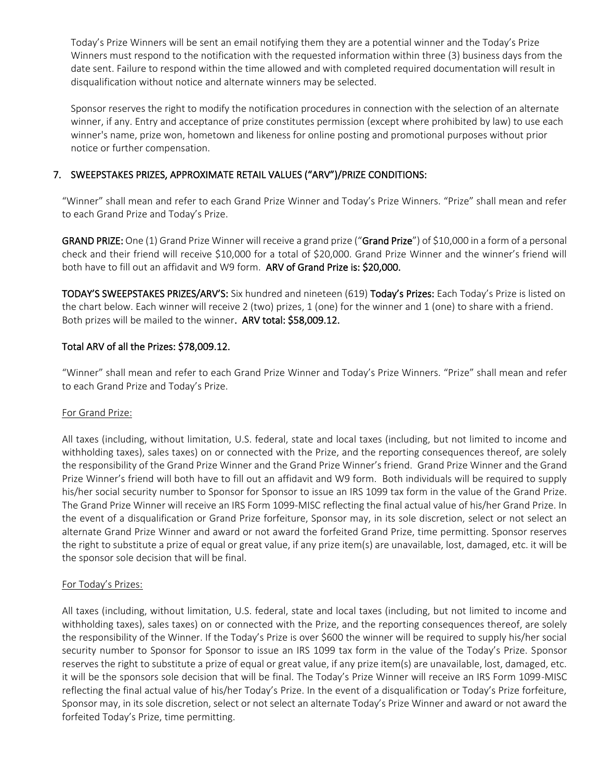Today's Prize Winners will be sent an email notifying them they are a potential winner and the Today's Prize Winners must respond to the notification with the requested information within three (3) business days from the date sent. Failure to respond within the time allowed and with completed required documentation will result in disqualification without notice and alternate winners may be selected.

Sponsor reserves the right to modify the notification procedures in connection with the selection of an alternate winner, if any. Entry and acceptance of prize constitutes permission (except where prohibited by law) to use each winner's name, prize won, hometown and likeness for online posting and promotional purposes without prior notice or further compensation.

# 7. SWEEPSTAKES PRIZES, APPROXIMATE RETAIL VALUES ("ARV")/PRIZE CONDITIONS:

"Winner" shall mean and refer to each Grand Prize Winner and Today's Prize Winners. "Prize" shall mean and refer to each Grand Prize and Today's Prize.

GRAND PRIZE: One (1) Grand Prize Winner will receive a grand prize ("Grand Prize") of \$10,000 in a form of a personal check and their friend will receive \$10,000 for a total of \$20,000. Grand Prize Winner and the winner's friend will both have to fill out an affidavit and W9 form. ARV of Grand Prize is: \$20,000.

TODAY'S SWEEPSTAKES PRIZES/ARV'S: Six hundred and nineteen (619) Today's Prizes: Each Today's Prize is listed on the chart below. Each winner will receive 2 (two) prizes, 1 (one) for the winner and 1 (one) to share with a friend. Both prizes will be mailed to the winner. ARV total: \$58,009.12.

# Total ARV of all the Prizes: \$78,009.12.

"Winner" shall mean and refer to each Grand Prize Winner and Today's Prize Winners. "Prize" shall mean and refer to each Grand Prize and Today's Prize.

#### For Grand Prize:

All taxes (including, without limitation, U.S. federal, state and local taxes (including, but not limited to income and withholding taxes), sales taxes) on or connected with the Prize, and the reporting consequences thereof, are solely the responsibility of the Grand Prize Winner and the Grand Prize Winner's friend. Grand Prize Winner and the Grand Prize Winner's friend will both have to fill out an affidavit and W9 form. Both individuals will be required to supply his/her social security number to Sponsor for Sponsor to issue an IRS 1099 tax form in the value of the Grand Prize. The Grand Prize Winner will receive an IRS Form 1099-MISC reflecting the final actual value of his/her Grand Prize. In the event of a disqualification or Grand Prize forfeiture, Sponsor may, in its sole discretion, select or not select an alternate Grand Prize Winner and award or not award the forfeited Grand Prize, time permitting. Sponsor reserves the right to substitute a prize of equal or great value, if any prize item(s) are unavailable, lost, damaged, etc. it will be the sponsor sole decision that will be final.

#### For Today's Prizes:

All taxes (including, without limitation, U.S. federal, state and local taxes (including, but not limited to income and withholding taxes), sales taxes) on or connected with the Prize, and the reporting consequences thereof, are solely the responsibility of the Winner. If the Today's Prize is over \$600 the winner will be required to supply his/her social security number to Sponsor for Sponsor to issue an IRS 1099 tax form in the value of the Today's Prize. Sponsor reserves the right to substitute a prize of equal or great value, if any prize item(s) are unavailable, lost, damaged, etc. it will be the sponsors sole decision that will be final. The Today's Prize Winner will receive an IRS Form 1099-MISC reflecting the final actual value of his/her Today's Prize. In the event of a disqualification or Today's Prize forfeiture, Sponsor may, in its sole discretion, select or not select an alternate Today's Prize Winner and award or not award the forfeited Today's Prize, time permitting.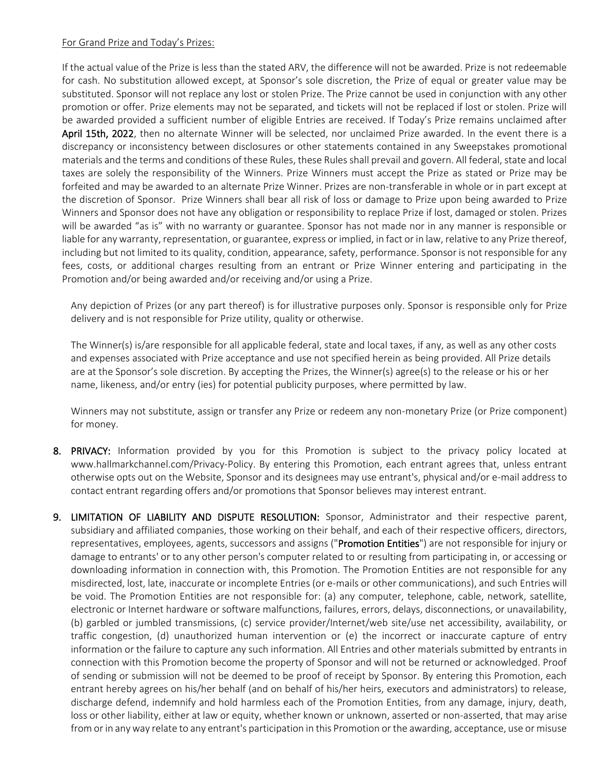#### For Grand Prize and Today's Prizes:

If the actual value of the Prize is less than the stated ARV, the difference will not be awarded. Prize is not redeemable for cash. No substitution allowed except, at Sponsor's sole discretion, the Prize of equal or greater value may be substituted. Sponsor will not replace any lost or stolen Prize. The Prize cannot be used in conjunction with any other promotion or offer. Prize elements may not be separated, and tickets will not be replaced if lost or stolen. Prize will be awarded provided a sufficient number of eligible Entries are received. If Today's Prize remains unclaimed after April 15th, 2022, then no alternate Winner will be selected, nor unclaimed Prize awarded. In the event there is a discrepancy or inconsistency between disclosures or other statements contained in any Sweepstakes promotional materials and the terms and conditions of these Rules, these Rules shall prevail and govern. All federal, state and local taxes are solely the responsibility of the Winners. Prize Winners must accept the Prize as stated or Prize may be forfeited and may be awarded to an alternate Prize Winner. Prizes are non-transferable in whole or in part except at the discretion of Sponsor. Prize Winners shall bear all risk of loss or damage to Prize upon being awarded to Prize Winners and Sponsor does not have any obligation or responsibility to replace Prize if lost, damaged or stolen. Prizes will be awarded "as is" with no warranty or guarantee. Sponsor has not made nor in any manner is responsible or liable for any warranty, representation, or guarantee, express or implied, in fact or in law, relative to any Prize thereof, including but not limited to its quality, condition, appearance, safety, performance. Sponsor is not responsible for any fees, costs, or additional charges resulting from an entrant or Prize Winner entering and participating in the Promotion and/or being awarded and/or receiving and/or using a Prize.

Any depiction of Prizes (or any part thereof) is for illustrative purposes only. Sponsor is responsible only for Prize delivery and is not responsible for Prize utility, quality or otherwise.

The Winner(s) is/are responsible for all applicable federal, state and local taxes, if any, as well as any other costs and expenses associated with Prize acceptance and use not specified herein as being provided. All Prize details are at the Sponsor's sole discretion. By accepting the Prizes, the Winner(s) agree(s) to the release or his or her name, likeness, and/or entry (ies) for potential publicity purposes, where permitted by law.

Winners may not substitute, assign or transfer any Prize or redeem any non-monetary Prize (or Prize component) for money.

- 8. PRIVACY: Information provided by you for this Promotion is subject to the privacy policy located at www.hallmarkchannel.com/Privacy-Policy. By entering this Promotion, each entrant agrees that, unless entrant otherwise opts out on the Website, Sponsor and its designees may use entrant's, physical and/or e-mail address to contact entrant regarding offers and/or promotions that Sponsor believes may interest entrant.
- 9. LIMITATION OF LIABILITY AND DISPUTE RESOLUTION: Sponsor, Administrator and their respective parent, subsidiary and affiliated companies, those working on their behalf, and each of their respective officers, directors, representatives, employees, agents, successors and assigns ("Promotion Entities") are not responsible for injury or damage to entrants' or to any other person's computer related to or resulting from participating in, or accessing or downloading information in connection with, this Promotion. The Promotion Entities are not responsible for any misdirected, lost, late, inaccurate or incomplete Entries (or e-mails or other communications), and such Entries will be void. The Promotion Entities are not responsible for: (a) any computer, telephone, cable, network, satellite, electronic or Internet hardware or software malfunctions, failures, errors, delays, disconnections, or unavailability, (b) garbled or jumbled transmissions, (c) service provider/Internet/web site/use net accessibility, availability, or traffic congestion, (d) unauthorized human intervention or (e) the incorrect or inaccurate capture of entry information or the failure to capture any such information. All Entries and other materials submitted by entrants in connection with this Promotion become the property of Sponsor and will not be returned or acknowledged. Proof of sending or submission will not be deemed to be proof of receipt by Sponsor. By entering this Promotion, each entrant hereby agrees on his/her behalf (and on behalf of his/her heirs, executors and administrators) to release, discharge defend, indemnify and hold harmless each of the Promotion Entities, from any damage, injury, death, loss or other liability, either at law or equity, whether known or unknown, asserted or non-asserted, that may arise from or in any way relate to any entrant's participation in this Promotion or the awarding, acceptance, use or misuse